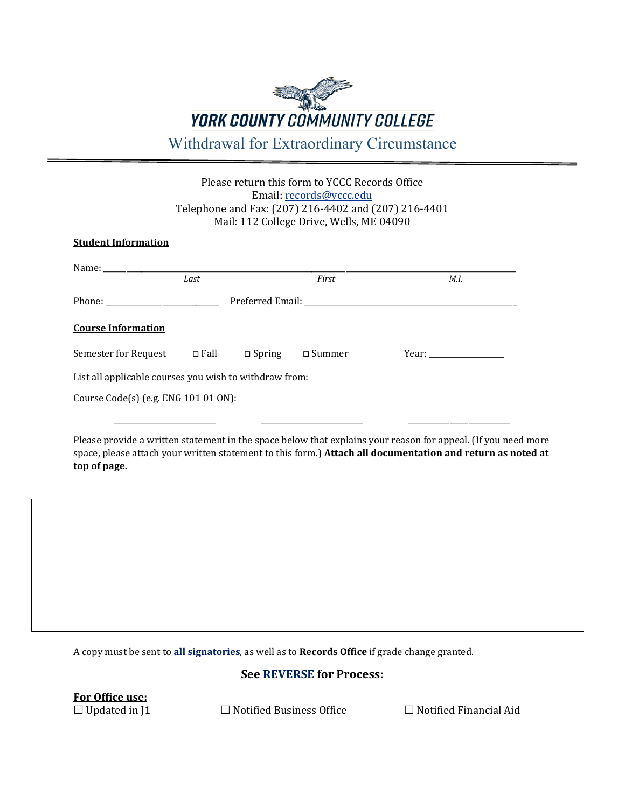# **YORK COUNTY COMMUNITY COLLEGE** Withdrawal for Extraordinary Circumstance

# Please return this form to YCCC Records Office Email[: records@yccc.edu](mailto:records@yccc.edu) Telephone and Fax: (207) 216-4402 and (207) 216-4401 Mail: 112 College Drive, Wells, ME 04090

## **Student Information**

|                                                        | Last                                       |               | First    | M.I. |
|--------------------------------------------------------|--------------------------------------------|---------------|----------|------|
|                                                        | Preferred Email: New York Preferred Email: |               |          |      |
| <b>Course Information</b>                              |                                            |               |          |      |
| Semester for Request □ Fall                            |                                            | $\Box$ Spring | □ Summer |      |
| List all applicable courses you wish to withdraw from: |                                            |               |          |      |
| Course Code(s) (e.g. ENG 101 01 ON):                   |                                            |               |          |      |

Please provide a written statement in the space below that explains your reason for appeal. (If you need more space, please attach your written statement to this form.) **Attach all documentation and return as noted at top of page.**

A copy must be sent to **all signatories**, as well as to **Records Office** if grade change granted.

## **See REVERSE for Process:**

**<u>For Office use:</u>**<br>□ Updated in J1

 $\Box$  Notified Business Office  $\Box$  Notified Financial Aid